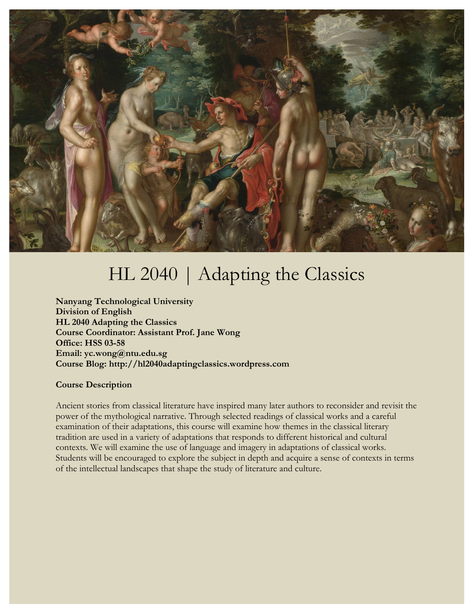

# HL 2040 | Adapting the Classics

**Nanyang Technological University Division of English HL 2040 Adapting the Classics Course Coordinator: Assistant Prof. Jane Wong Office: HSS 03-58 Email: yc.wong@ntu.edu.sg Course Blog: http://hl2040adaptingclassics.wordpress.com**

### **Course Description**

Ancient stories from classical literature have inspired many later authors to reconsider and revisit the power of the mythological narrative. Through selected readings of classical works and a careful examination of their adaptations, this course will examine how themes in the classical literary tradition are used in a variety of adaptations that responds to different historical and cultural contexts. We will examine the use of language and imagery in adaptations of classical works. Students will be encouraged to explore the subject in depth and acquire a sense of contexts in terms of the intellectual landscapes that shape the study of literature and culture.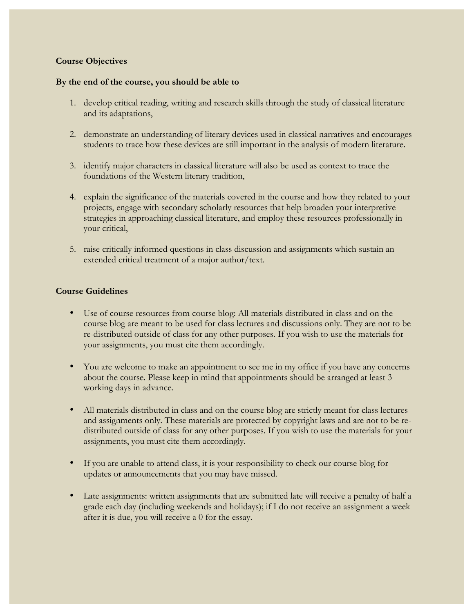## **Course Objectives**

#### **By the end of the course, you should be able to**

- 1. develop critical reading, writing and research skills through the study of classical literature and its adaptations,
- 2. demonstrate an understanding of literary devices used in classical narratives and encourages students to trace how these devices are still important in the analysis of modern literature.
- 3. identify major characters in classical literature will also be used as context to trace the foundations of the Western literary tradition,
- 4. explain the significance of the materials covered in the course and how they related to your projects, engage with secondary scholarly resources that help broaden your interpretive strategies in approaching classical literature, and employ these resources professionally in your critical,
- 5. raise critically informed questions in class discussion and assignments which sustain an extended critical treatment of a major author/text.

#### **Course Guidelines**

- Use of course resources from course blog: All materials distributed in class and on the course blog are meant to be used for class lectures and discussions only. They are not to be re-distributed outside of class for any other purposes. If you wish to use the materials for your assignments, you must cite them accordingly.
- You are welcome to make an appointment to see me in my office if you have any concerns about the course. Please keep in mind that appointments should be arranged at least 3 working days in advance.
- All materials distributed in class and on the course blog are strictly meant for class lectures and assignments only. These materials are protected by copyright laws and are not to be redistributed outside of class for any other purposes. If you wish to use the materials for your assignments, you must cite them accordingly.
- If you are unable to attend class, it is your responsibility to check our course blog for updates or announcements that you may have missed.
- Late assignments: written assignments that are submitted late will receive a penalty of half a grade each day (including weekends and holidays); if I do not receive an assignment a week after it is due, you will receive a 0 for the essay.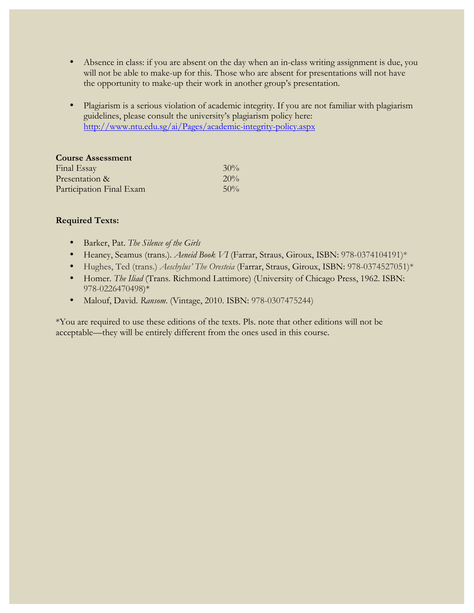- Absence in class: if you are absent on the day when an in-class writing assignment is due, you will not be able to make-up for this. Those who are absent for presentations will not have the opportunity to make-up their work in another group's presentation.
- Plagiarism is a serious violation of academic integrity. If you are not familiar with plagiarism guidelines, please consult the university's plagiarism policy here: http://www.ntu.edu.sg/ai/Pages/academic-integrity-policy.aspx

| <b>Course Assessment</b> |        |
|--------------------------|--------|
| Final Essay              | $30\%$ |
| Presentation &           | 20%    |
| Participation Final Exam | 50%    |

# **Required Texts:**

- Barker, Pat. *The Silence of the Girls*
- Heaney, Seamus (trans.). *Aeneid Book VI* (Farrar, Straus, Giroux, ISBN: 978-0374104191)\*
- Hughes, Ted (trans.) *Aeschylus' The Oresteia* (Farrar, Straus, Giroux, ISBN: 978-0374527051)\*
- Homer. *The Iliad* (Trans. Richmond Lattimore) (University of Chicago Press, 1962. ISBN: 978-0226470498)\*
- Malouf, David. *Ransom*. (Vintage, 2010. ISBN: 978-0307475244)

\*You are required to use these editions of the texts. Pls. note that other editions will not be acceptable—they will be entirely different from the ones used in this course.